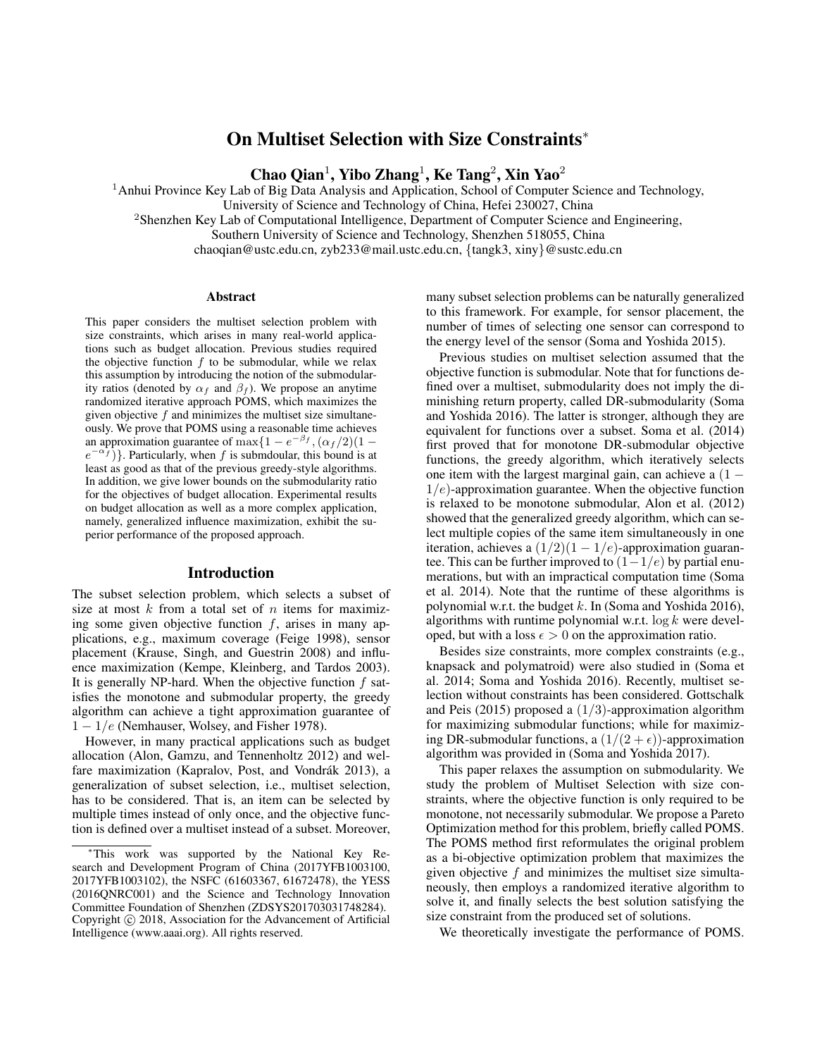# On Multiset Selection with Size Constraints<sup>∗</sup>

Chao Qian<sup>1</sup>, Yibo Zhang<sup>1</sup>, Ke Tang<sup>2</sup>, Xin Yao<sup>2</sup>

<sup>1</sup> Anhui Province Key Lab of Big Data Analysis and Application, School of Computer Science and Technology,

University of Science and Technology of China, Hefei 230027, China

<sup>2</sup>Shenzhen Key Lab of Computational Intelligence, Department of Computer Science and Engineering,

Southern University of Science and Technology, Shenzhen 518055, China

chaoqian@ustc.edu.cn, zyb233@mail.ustc.edu.cn, {tangk3, xiny}@sustc.edu.cn

#### Abstract

This paper considers the multiset selection problem with size constraints, which arises in many real-world applications such as budget allocation. Previous studies required the objective function  $f$  to be submodular, while we relax this assumption by introducing the notion of the submodularity ratios (denoted by  $\alpha_f$  and  $\beta_f$ ). We propose an anytime randomized iterative approach POMS, which maximizes the given objective  $f$  and minimizes the multiset size simultaneously. We prove that POMS using a reasonable time achieves an approximation guarantee of max $\{1 - e^{-\beta_f}, (\alpha_f/2)(1$  $e^{-\alpha f}$ ). Particularly, when f is submdoular, this bound is at least as good as that of the previous greedy-style algorithms. In addition, we give lower bounds on the submodularity ratio for the objectives of budget allocation. Experimental results on budget allocation as well as a more complex application, namely, generalized influence maximization, exhibit the superior performance of the proposed approach.

## Introduction

The subset selection problem, which selects a subset of size at most  $k$  from a total set of  $n$  items for maximizing some given objective function  $f$ , arises in many applications, e.g., maximum coverage (Feige 1998), sensor placement (Krause, Singh, and Guestrin 2008) and influence maximization (Kempe, Kleinberg, and Tardos 2003). It is generally NP-hard. When the objective function  $f$  satisfies the monotone and submodular property, the greedy algorithm can achieve a tight approximation guarantee of  $1 - 1/e$  (Nemhauser, Wolsey, and Fisher 1978).

However, in many practical applications such as budget allocation (Alon, Gamzu, and Tennenholtz 2012) and welfare maximization (Kapralov, Post, and Vondrák 2013), a generalization of subset selection, i.e., multiset selection, has to be considered. That is, an item can be selected by multiple times instead of only once, and the objective function is defined over a multiset instead of a subset. Moreover,

many subset selection problems can be naturally generalized to this framework. For example, for sensor placement, the number of times of selecting one sensor can correspond to the energy level of the sensor (Soma and Yoshida 2015).

Previous studies on multiset selection assumed that the objective function is submodular. Note that for functions defined over a multiset, submodularity does not imply the diminishing return property, called DR-submodularity (Soma and Yoshida 2016). The latter is stronger, although they are equivalent for functions over a subset. Soma et al. (2014) first proved that for monotone DR-submodular objective functions, the greedy algorithm, which iteratively selects one item with the largest marginal gain, can achieve a  $(1 1/e$ )-approximation guarantee. When the objective function is relaxed to be monotone submodular, Alon et al. (2012) showed that the generalized greedy algorithm, which can select multiple copies of the same item simultaneously in one iteration, achieves a  $(1/2)(1 - 1/e)$ -approximation guarantee. This can be further improved to  $(1-1/e)$  by partial enumerations, but with an impractical computation time (Soma et al. 2014). Note that the runtime of these algorithms is polynomial w.r.t. the budget  $k$ . In (Soma and Yoshida 2016), algorithms with runtime polynomial w.r.t.  $\log k$  were developed, but with a loss  $\epsilon > 0$  on the approximation ratio.

Besides size constraints, more complex constraints (e.g., knapsack and polymatroid) were also studied in (Soma et al. 2014; Soma and Yoshida 2016). Recently, multiset selection without constraints has been considered. Gottschalk and Peis (2015) proposed a  $(1/3)$ -approximation algorithm for maximizing submodular functions; while for maximizing DR-submodular functions, a  $(1/(2 + \epsilon))$ -approximation algorithm was provided in (Soma and Yoshida 2017).

This paper relaxes the assumption on submodularity. We study the problem of Multiset Selection with size constraints, where the objective function is only required to be monotone, not necessarily submodular. We propose a Pareto Optimization method for this problem, briefly called POMS. The POMS method first reformulates the original problem as a bi-objective optimization problem that maximizes the given objective  $f$  and minimizes the multiset size simultaneously, then employs a randomized iterative algorithm to solve it, and finally selects the best solution satisfying the size constraint from the produced set of solutions.

We theoretically investigate the performance of POMS.

<sup>∗</sup>This work was supported by the National Key Research and Development Program of China (2017YFB1003100, 2017YFB1003102), the NSFC (61603367, 61672478), the YESS (2016QNRC001) and the Science and Technology Innovation Committee Foundation of Shenzhen (ZDSYS201703031748284). Copyright © 2018, Association for the Advancement of Artificial Intelligence (www.aaai.org). All rights reserved.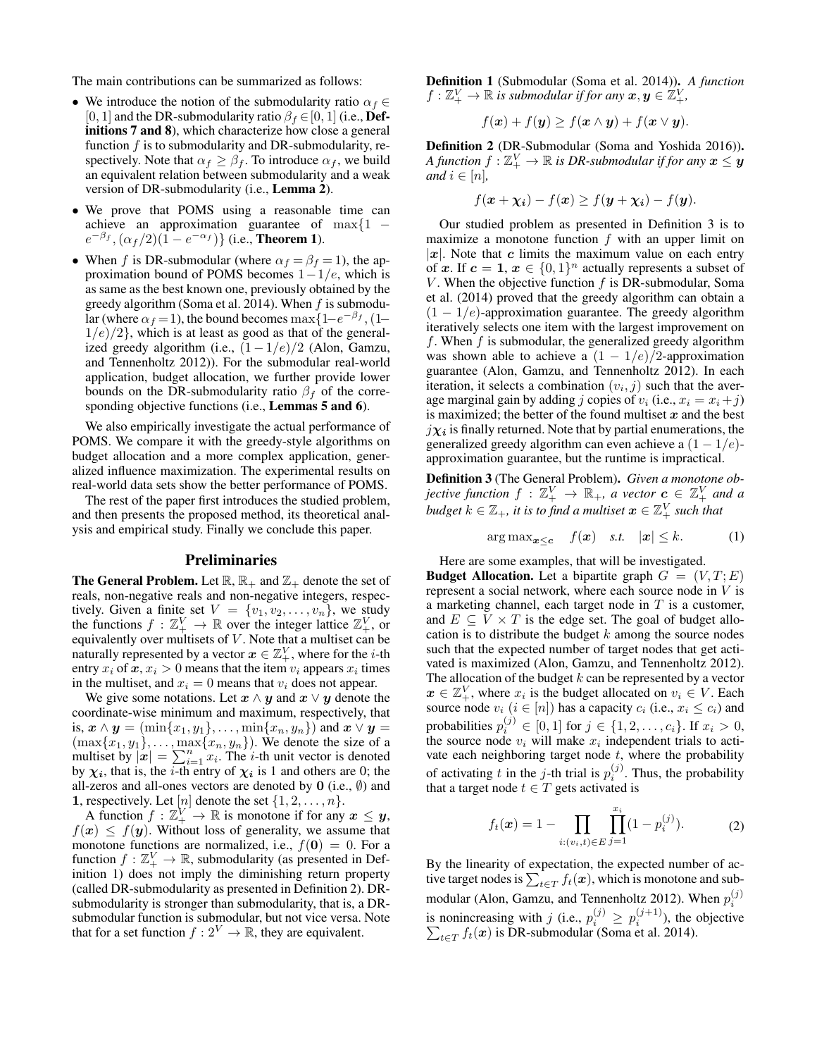The main contributions can be summarized as follows:

- We introduce the notion of the submodularity ratio  $\alpha_f \in$ [0, 1] and the DR-submodularity ratio  $\beta_f \in [0, 1]$  (i.e., Definitions 7 and 8), which characterize how close a general function  $f$  is to submodularity and DR-submodularity, respectively. Note that  $\alpha_f \geq \beta_f$ . To introduce  $\alpha_f$ , we build an equivalent relation between submodularity and a weak version of DR-submodularity (i.e., Lemma 2).
- We prove that POMS using a reasonable time can achieve an approximation guarantee of  $\max\{1$  –  $e^{-\beta_f}, (\alpha_f/2)(1 - e^{-\alpha_f})\}$  (i.e., **Theorem 1**).
- When f is DR-submodular (where  $\alpha_f = \beta_f = 1$ ), the approximation bound of POMS becomes  $1-1/e$ , which is as same as the best known one, previously obtained by the greedy algorithm (Soma et al. 2014). When  $f$  is submodular (where  $\alpha_f = 1$ ), the bound becomes max $\left\{1 - e^{-\beta_f}, (1 - e^{-\beta_f})\right\}$  $1/e/2$ , which is at least as good as that of the generalized greedy algorithm (i.e.,  $(1 - 1/e)/2$  (Alon, Gamzu, and Tennenholtz 2012)). For the submodular real-world application, budget allocation, we further provide lower bounds on the DR-submodularity ratio  $\beta_f$  of the corresponding objective functions (i.e., Lemmas 5 and 6).

We also empirically investigate the actual performance of POMS. We compare it with the greedy-style algorithms on budget allocation and a more complex application, generalized influence maximization. The experimental results on real-world data sets show the better performance of POMS.

The rest of the paper first introduces the studied problem, and then presents the proposed method, its theoretical analysis and empirical study. Finally we conclude this paper.

## **Preliminaries**

**The General Problem.** Let  $\mathbb{R}$ ,  $\mathbb{R}_+$  and  $\mathbb{Z}_+$  denote the set of reals, non-negative reals and non-negative integers, respectively. Given a finite set  $V = \{v_1, v_2, \dots, v_n\}$ , we study the functions  $f : \mathbb{Z}_+^V \to \mathbb{R}$  over the integer lattice  $\mathbb{Z}_+^V$ , or equivalently over multisets of  $V$ . Note that a multiset can be naturally represented by a vector  $x \in \mathbb{Z}_+^V$ , where for the *i*-th entry  $x_i$  of  $x, x_i > 0$  means that the item  $v_i$  appears  $x_i$  times in the multiset, and  $x_i = 0$  means that  $v_i$  does not appear.

We give some notations. Let  $x \wedge y$  and  $x \vee y$  denote the coordinate-wise minimum and maximum, respectively, that is,  $\mathbf{x} \wedge \mathbf{y} = (\min\{x_1, y_1\}, \dots, \min\{x_n, y_n\})$  and  $\mathbf{x} \vee \mathbf{y} =$  $(\max\{x_1, y_1\}, \ldots, \max\{x_n, y_n\})$ . We denote the size of a multiset by  $|\mathbf{x}| = \sum_{i=1}^{n} x_i$ . The *i*-th unit vector is denoted by  $\chi_i$ , that is, the *i*-th entry of  $\chi_i$  is 1 and others are 0; the all-zeros and all-ones vectors are denoted by  $0$  (i.e.,  $\emptyset$ ) and 1, respectively. Let  $[n]$  denote the set  $\{1, 2, \ldots, n\}$ .

A function  $f: \mathbb{Z}_+^V \to \mathbb{R}$  is monotone if for any  $x \leq y$ ,  $f(\mathbf{x}) \leq f(\mathbf{y})$ . Without loss of generality, we assume that monotone functions are normalized, i.e.,  $f(0) = 0$ . For a function  $f : \mathbb{Z}_+^V \to \mathbb{R}$ , submodularity (as presented in Definition 1) does not imply the diminishing return property (called DR-submodularity as presented in Definition 2). DRsubmodularity is stronger than submodularity, that is, a DRsubmodular function is submodular, but not vice versa. Note that for a set function  $f: 2^V \to \mathbb{R}$ , they are equivalent.

Definition 1 (Submodular (Soma et al. 2014)). *A function*  $f: \mathbb{Z}_+^V \to \mathbb{R}$  is submodular if for any  $\boldsymbol{x}, \boldsymbol{y} \in \widetilde{\mathbb{Z}}_+^V$ ,

$$
f(\boldsymbol{x}) + f(\boldsymbol{y}) \ge f(\boldsymbol{x} \wedge \boldsymbol{y}) + f(\boldsymbol{x} \vee \boldsymbol{y}).
$$

Definition 2 (DR-Submodular (Soma and Yoshida 2016)). A function  $f:\mathbb{Z}_{+}^{V}\rightarrow\mathbb{R}$  is DR-submodular if for any  $\boldsymbol{x}\leq\hat{\boldsymbol{y}}$ *and*  $i \in [n]$ ,

$$
f(\mathbf{x} + \mathbf{\chi_i}) - f(\mathbf{x}) \ge f(\mathbf{y} + \mathbf{\chi_i}) - f(\mathbf{y}).
$$

Our studied problem as presented in Definition 3 is to maximize a monotone function  $f$  with an upper limit on |x|. Note that c limits the maximum value on each entry of x. If  $c = 1$ ,  $x \in \{0, 1\}^n$  actually represents a subset of V. When the objective function  $f$  is DR-submodular, Soma et al. (2014) proved that the greedy algorithm can obtain a  $(1 - 1/e)$ -approximation guarantee. The greedy algorithm iteratively selects one item with the largest improvement on f. When  $f$  is submodular, the generalized greedy algorithm was shown able to achieve a  $(1 - 1/e)/2$ -approximation guarantee (Alon, Gamzu, and Tennenholtz 2012). In each iteration, it selects a combination  $(v_i, j)$  such that the average marginal gain by adding j copies of  $v_i$  (i.e.,  $x_i = x_i + j$ ) is maximized; the better of the found multiset  $x$  and the best  $j\chi_i$  is finally returned. Note that by partial enumerations, the generalized greedy algorithm can even achieve a  $(1 - 1/e)$ approximation guarantee, but the runtime is impractical.

Definition 3 (The General Problem). *Given a monotone objective function*  $f : \mathbb{Z}_{+}^{V} \to \mathbb{R}_{+}$ *, a vector*  $c \in \mathbb{Z}_{+}^{V}$  and a  $\emph{budget }$   $k \in \mathbb{Z}_{+}$ , it is to find a multiset  $\bm{x} \in \mathbb{Z}_{+}^{V}$  such that

$$
\arg \max_{\mathbf{x} \le \mathbf{c}} \quad f(\mathbf{x}) \quad \text{s.t.} \quad |\mathbf{x}| \le k. \tag{1}
$$

Here are some examples, that will be investigated.

**Budget Allocation.** Let a bipartite graph  $G = (V, T; E)$ represent a social network, where each source node in  $V$  is a marketing channel, each target node in  $T$  is a customer, and  $E \subseteq V \times T$  is the edge set. The goal of budget allocation is to distribute the budget  $k$  among the source nodes such that the expected number of target nodes that get activated is maximized (Alon, Gamzu, and Tennenholtz 2012). The allocation of the budget  $k$  can be represented by a vector  $x \in \mathbb{Z}_+^V$ , where  $x_i$  is the budget allocated on  $v_i \in V$ . Each source node  $v_i$   $(i \in [n])$  has a capacity  $c_i$  (i.e.,  $x_i \leq c_i$ ) and probabilities  $p_i^{(j)} \in [0, 1]$  for  $j \in \{1, 2, ..., c_i\}$ . If  $x_i > 0$ , the source node  $v_i$  will make  $x_i$  independent trials to activate each neighboring target node  $t$ , where the probability of activating t in the j-th trial is  $p_i^{(j)}$ . Thus, the probability that a target node  $t \in T$  gets activated is

$$
f_t(\boldsymbol{x}) = 1 - \prod_{i:(v_i,t) \in E} \prod_{j=1}^{x_i} (1 - p_i^{(j)}).
$$
 (2)

By the linearity of expectation, the expected number of active target nodes is  $\sum_{t\in T} f_t(\bm{x}),$  which is monotone and submodular (Alon, Gamzu, and Tennenholtz 2012). When  $p_i^{(j)}$ is nonincreasing with j (i.e.,  $p_i^{(j)} \ge p_i^{(j+1)}$ )<br> $\sum_{t \in T} f_t(x)$  is DR-submodular (Soma et al. ), the objective  $_{t\in T}$   $f_t(\boldsymbol{x})$  is DR-submodular (Soma et al. 2014).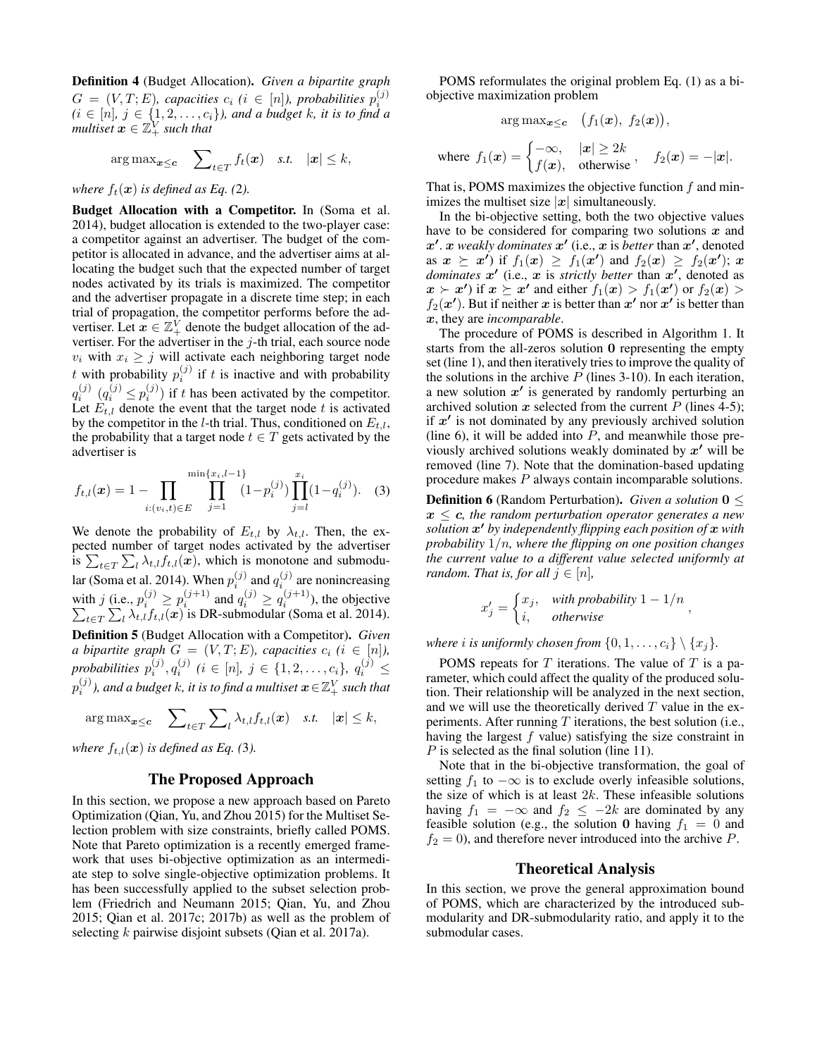Definition 4 (Budget Allocation). *Given a bipartite graph*  $G = (V, T; E)$ , capacities  $c_i$  ( $i \in [n]$ ), probabilities  $p_i^{(j)}$  $(i \in [n], j \in \{1, 2, \ldots, c_i\}$ , and a budget k, it is to find a *multiset*  $x \in \mathbb{Z}_+^V$  *such that* 

$$
\arg \max_{\mathbf{x} \leq \mathbf{c}} \quad \sum_{t \in T} f_t(\mathbf{x}) \quad \text{s.t.} \quad |\mathbf{x}| \leq k,
$$

*where*  $f_t(\mathbf{x})$  *is defined as Eq.* (2*).* 

Budget Allocation with a Competitor. In (Soma et al. 2014), budget allocation is extended to the two-player case: a competitor against an advertiser. The budget of the competitor is allocated in advance, and the advertiser aims at allocating the budget such that the expected number of target nodes activated by its trials is maximized. The competitor and the advertiser propagate in a discrete time step; in each trial of propagation, the competitor performs before the advertiser. Let  $\vec{x} \in \mathbb{Z}_+^V$  denote the budget allocation of the advertiser. For the advertiser in the  $j$ -th trial, each source node  $v_i$  with  $x_i \geq j$  will activate each neighboring target node t with probability  $p_i^{(j)}$  if t is inactive and with probability  $q_i^{(j)}$   $(q_i^{(j)} \leq p_i^{(j)})$  if t has been activated by the competitor. Let  $E_{t,l}$  denote the event that the target node t is activated by the competitor in the *l*-th trial. Thus, conditioned on  $E_{t,l}$ , the probability that a target node  $t \in T$  gets activated by the advertiser is

$$
f_{t,l}(\boldsymbol{x}) = 1 - \prod_{i:(v_i,t) \in E} \prod_{j=1}^{\min\{x_i, l-1\}} (1 - p_i^{(j)}) \prod_{j=l}^{x_i} (1 - q_i^{(j)}).
$$
 (3)

We denote the probability of  $E_{t,l}$  by  $\lambda_{t,l}$ . Then, the expected number of target nodes activated by the advertiser is  $\sum_{t \in T} \sum_{l} \lambda_{t,l} f_{t,l}(x)$ , which is monotone and submodular (Soma et al. 2014). When  $p_i^{(j)}$  and  $q_i^{(j)}$  are nonincreasing with j (i.e.,  $p_i^{(j)} \ge p_i^{(j+1)}$  and  $q_i^{(j)} \ge q_i^{(j+1)}$ <br> $\sum_{t \in T} \sum_l \lambda_{t,l} f_{t,l}(\boldsymbol{x})$  is DR-submodular (Son ), the objective  $\sum_l \lambda_{t,l} f_{t,l}(\boldsymbol{x})$  is DR-submodular (Soma et al. 2014). Definition 5 (Budget Allocation with a Competitor). *Given a bipartite graph*  $G = (V, T; E)$ *, capacities*  $c_i$  ( $i \in [n]$ ),  $p$ robabilities  $p_i^{(j)}, q_i^{(j)}$   $(i \in [n], j \in \{1, 2, \ldots, c_i\}, q_i^{(j)} \leq i$  $p_i^{(j)}$ ), and a budget  $k$ , it is to find a multiset  $\boldsymbol{x}\!\in\!\mathbb{Z}^V_+$  such that

$$
\arg\max_{\boldsymbol{x}\leq \boldsymbol{c}} \quad \sum\nolimits_{t\in T} \sum\nolimits_{l} \lambda_{t,l} f_{t,l}(\boldsymbol{x}) \quad s.t. \quad |\boldsymbol{x}| \leq k,
$$

*where*  $f_{t,l}(\boldsymbol{x})$  *is defined as Eq.* (3*).* 

# The Proposed Approach

In this section, we propose a new approach based on Pareto Optimization (Qian, Yu, and Zhou 2015) for the Multiset Selection problem with size constraints, briefly called POMS. Note that Pareto optimization is a recently emerged framework that uses bi-objective optimization as an intermediate step to solve single-objective optimization problems. It has been successfully applied to the subset selection problem (Friedrich and Neumann 2015; Qian, Yu, and Zhou 2015; Qian et al. 2017c; 2017b) as well as the problem of selecting k pairwise disjoint subsets (Qian et al. 2017a).

POMS reformulates the original problem Eq. (1) as a biobjective maximization problem

$$
\arg\max_{\bm{x}\leq \bm{c}}\quad \big(f_1(\bm{x}),\ f_2(\bm{x})\big),
$$

where 
$$
f_1(\boldsymbol{x}) = \begin{cases} -\infty, & |\boldsymbol{x}| \ge 2k \\ f(\boldsymbol{x}), & \text{otherwise} \end{cases}
$$
,  $f_2(\boldsymbol{x}) = -|\boldsymbol{x}|$ .

That is, POMS maximizes the objective function f and minimizes the multiset size  $|x|$  simultaneously.

In the bi-objective setting, both the two objective values have to be considered for comparing two solutions  $x$  and  $x'$ . x *weakly dominates*  $x'$  (i.e., x is *better* than  $x'$ , denoted as  $\mathbf{x} \geq \mathbf{x'}$  if  $f_1(\mathbf{x}) \geq f_1(\mathbf{x'})$  and  $f_2(\mathbf{x}) \geq f_2(\mathbf{x'})$ ;  $\mathbf{x}$ dominates  $x'$  (i.e., x is *strictly better* than  $x'$ , denoted as  $\mathbf{x} \succ \mathbf{x'}$  if  $\mathbf{x} \succeq \mathbf{x'}$  and either  $f_1(\mathbf{x}) > f_1(\mathbf{x'})$  or  $f_2(\mathbf{x}) >$  $f_2(x')$ . But if neither x is better than x' nor x' is better than x, they are *incomparable*.

The procedure of POMS is described in Algorithm 1. It starts from the all-zeros solution 0 representing the empty set (line 1), and then iteratively tries to improve the quality of the solutions in the archive  $P$  (lines 3-10). In each iteration, a new solution  $x'$  is generated by randomly perturbing an archived solution  $x$  selected from the current  $P$  (lines 4-5); if  $x'$  is not dominated by any previously archived solution (line 6), it will be added into  $P$ , and meanwhile those previously archived solutions weakly dominated by  $x'$  will be removed (line 7). Note that the domination-based updating procedure makes P always contain incomparable solutions.

**Definition 6** (Random Perturbation). *Given a solution*  $0 \leq$  $x \leq c$ , the random perturbation operator generates a new *solution* x <sup>0</sup> *by independently flipping each position of* x *with probability* 1/n*, where the flipping on one position changes the current value to a different value selected uniformly at random. That is, for all*  $j \in [n]$ *,* 

$$
x'_j = \begin{cases} x_j, & \text{with probability } 1 - 1/n \\ i, & \text{otherwise} \end{cases}
$$

*where i is uniformly chosen from*  $\{0, 1, \ldots, c_i\} \setminus \{x_i\}$ .

POMS repeats for  $T$  iterations. The value of  $T$  is a parameter, which could affect the quality of the produced solution. Their relationship will be analyzed in the next section, and we will use the theoretically derived  $T$  value in the experiments. After running  $T$  iterations, the best solution (i.e., having the largest f value) satisfying the size constraint in P is selected as the final solution (line 11).

Note that in the bi-objective transformation, the goal of setting  $f_1$  to  $-\infty$  is to exclude overly infeasible solutions, the size of which is at least  $2k$ . These infeasible solutions having  $f_1 = -\infty$  and  $f_2 \le -2k$  are dominated by any feasible solution (e.g., the solution 0 having  $f_1 = 0$  and  $f_2 = 0$ , and therefore never introduced into the archive P.

#### Theoretical Analysis

In this section, we prove the general approximation bound of POMS, which are characterized by the introduced submodularity and DR-submodularity ratio, and apply it to the submodular cases.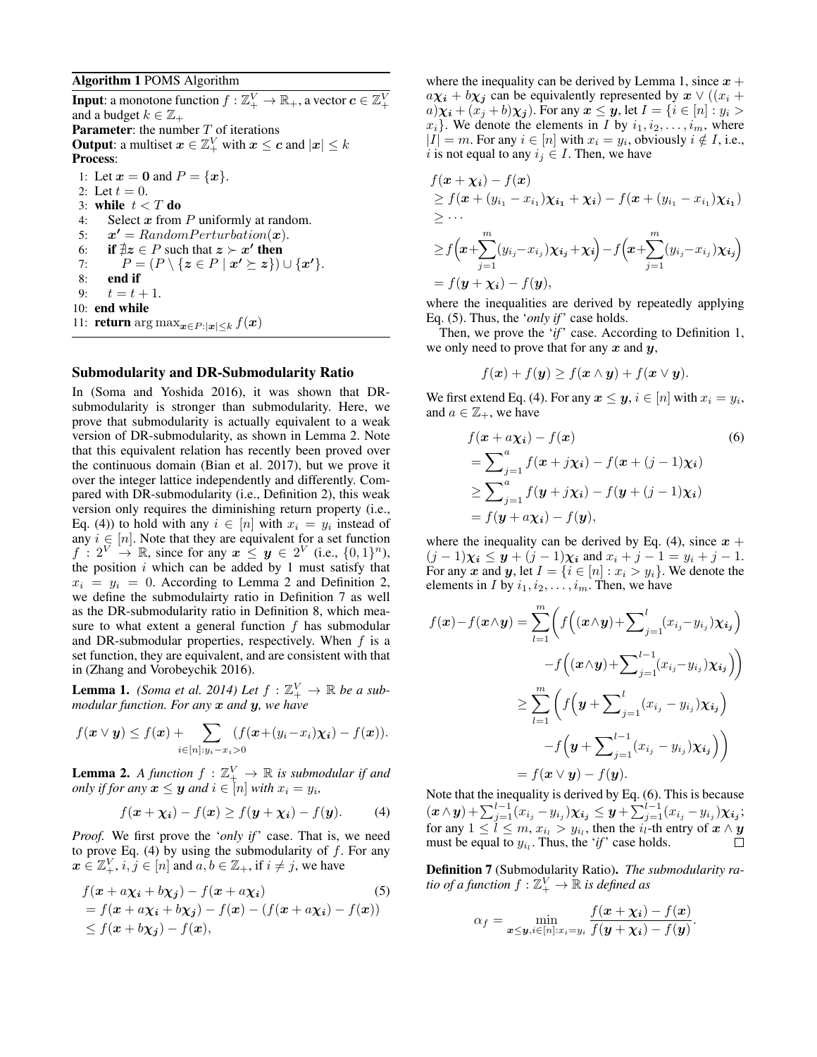## Algorithm 1 POMS Algorithm

**Input**: a monotone function  $f : \mathbb{Z}_{+}^{V} \to \mathbb{R}_{+}$ , a vector  $\boldsymbol{c} \in \mathbb{Z}_{+}^{V}$ and a budget  $k \in \mathbb{Z}_+$ **Parameter:** the number  $T$  of iterations **Output**: a multiset  $\boldsymbol{x} \in \mathbb{Z}_+^V$  with  $\boldsymbol{x} \leq \boldsymbol{c}$  and  $|\boldsymbol{x}| \leq k$ Process: 1: Let  $x = 0$  and  $P = \{x\}.$ 2: Let  $t = 0$ . 3: while  $t < T$  do 4: Select  $x$  from  $P$  uniformly at random. 5:  $x' = Random Perturbation(x)$ . 6: if  $\exists z \in P$  such that  $z \succ x'$  then 7:  $P = (P \setminus \{z \in P \mid x' \succeq z\}) \cup \{x'\}.$ 8: end if 9:  $t = t + 1$ . 10: end while 11: **return** arg max $x \in P : |x| \le k$  f(x)

#### Submodularity and DR-Submodularity Ratio

In (Soma and Yoshida 2016), it was shown that DRsubmodularity is stronger than submodularity. Here, we prove that submodularity is actually equivalent to a weak version of DR-submodularity, as shown in Lemma 2. Note that this equivalent relation has recently been proved over the continuous domain (Bian et al. 2017), but we prove it over the integer lattice independently and differently. Compared with DR-submodularity (i.e., Definition 2), this weak version only requires the diminishing return property (i.e., Eq. (4)) to hold with any  $i \in [n]$  with  $x_i = y_i$  instead of any  $i \in [n]$ . Note that they are equivalent for a set function  $f: 2^V \to \mathbb{R}$ , since for any  $x \leq y \in 2^V$  (i.e.,  $\{0,1\}^n$ ), the position  $i$  which can be added by 1 must satisfy that  $x_i = y_i = 0$ . According to Lemma 2 and Definition 2, we define the submodulairty ratio in Definition 7 as well as the DR-submodularity ratio in Definition 8, which measure to what extent a general function  $f$  has submodular and DR-submodular properties, respectively. When  $f$  is a set function, they are equivalent, and are consistent with that in (Zhang and Vorobeychik 2016).

**Lemma 1.** *(Soma et al. 2014)* Let  $f : \mathbb{Z}_+^V \to \mathbb{R}$  be a sub*modular function. For any* x *and* y*, we have*

$$
f(\boldsymbol{x} \vee \boldsymbol{y}) \leq f(\boldsymbol{x}) + \sum_{i \in [n]: y_i - x_i > 0} (f(\boldsymbol{x} + (y_i - x_i)\boldsymbol{\chi_i}) - f(\boldsymbol{x})).
$$

**Lemma 2.** A function  $f : \mathbb{Z}_+^V \to \mathbb{R}$  is submodular if and *only if for any*  $x \leq y$  *and*  $i \in [n]$  *with*  $x_i = y_i$ *,* 

$$
f(\boldsymbol{x} + \boldsymbol{\chi_i}) - f(\boldsymbol{x}) \ge f(\boldsymbol{y} + \boldsymbol{\chi_i}) - f(\boldsymbol{y}). \tag{4}
$$

*Proof.* We first prove the '*only if*' case. That is, we need to prove Eq. (4) by using the submodularity of  $f$ . For any  $x \in \mathbb{Z}_+^V$ ,  $i, j \in [n]$  and  $a, b \in \mathbb{Z}_+$ , if  $i \neq j$ , we have

$$
f(\mathbf{x} + a\chi_i + b\chi_j) - f(\mathbf{x} + a\chi_i)
$$
\n
$$
= f(\mathbf{x} + a\chi_i + b\chi_j) - f(\mathbf{x}) - (f(\mathbf{x} + a\chi_i) - f(\mathbf{x}))
$$
\n
$$
\leq f(\mathbf{x} + b\chi_j) - f(\mathbf{x}),
$$
\n(5)\n(5)

where the inequality can be derived by Lemma 1, since  $x +$  $a\chi_i + b\chi_j$  can be equivalently represented by  $x \vee (x_i + b\chi_j)$  $a) \chi_i + (x_i + b) \chi_i$ ). For any  $x \leq y$ , let  $I = \{i \in [n] : y_i > a\}$  $x_i$ . We denote the elements in *I* by  $i_1, i_2, \ldots, i_m$ , where  $|I| = m$ . For any  $i \in [n]$  with  $x_i = y_i$ , obviously  $i \notin I$ , i.e., i is not equal to any  $i_j \in I$ . Then, we have

$$
f(\boldsymbol{x} + \boldsymbol{\chi_i}) - f(\boldsymbol{x})
$$
  
\n
$$
\geq f(\boldsymbol{x} + (y_{i_1} - x_{i_1})\boldsymbol{\chi_{i_1}} + \boldsymbol{\chi_i}) - f(\boldsymbol{x} + (y_{i_1} - x_{i_1})\boldsymbol{\chi_{i_1}})
$$
  
\n
$$
\geq \cdots
$$
  
\n
$$
\geq f\left(\boldsymbol{x} + \sum_{j=1}^{m} (y_{i_j} - x_{i_j})\boldsymbol{\chi_{i_j}} + \boldsymbol{\chi_i}\right) - f\left(\boldsymbol{x} + \sum_{j=1}^{m} (y_{i_j} - x_{i_j})\boldsymbol{\chi_{i_j}}\right)
$$
  
\n
$$
= f(\boldsymbol{y} + \boldsymbol{\chi_i}) - f(\boldsymbol{y}),
$$

where the inequalities are derived by repeatedly applying Eq. (5). Thus, the '*only if*' case holds.

Then, we prove the '*if*' case. According to Definition 1, we only need to prove that for any  $x$  and  $y$ ,

$$
f(\mathbf{x}) + f(\mathbf{y}) \ge f(\mathbf{x} \wedge \mathbf{y}) + f(\mathbf{x} \vee \mathbf{y}).
$$

We first extend Eq. (4). For any  $\boldsymbol{x} \leq \boldsymbol{y}, i \in [n]$  with  $x_i = y_i$ , and  $a \in \mathbb{Z}_+$ , we have

$$
f(\mathbf{x} + a\chi_i) - f(\mathbf{x})
$$
\n
$$
= \sum_{j=1}^{a} f(\mathbf{x} + j\chi_i) - f(\mathbf{x} + (j-1)\chi_i)
$$
\n
$$
\geq \sum_{j=1}^{a} f(\mathbf{y} + j\chi_i) - f(\mathbf{y} + (j-1)\chi_i)
$$
\n
$$
= f(\mathbf{y} + a\chi_i) - f(\mathbf{y}),
$$
\n(6)

where the inequality can be derived by Eq. (4), since  $x +$  $(j-1)\chi_i \leq y + (j-1)\chi_i$  and  $x_i + j - 1 = y_i + j - 1$ . For any x and y, let  $I = \{i \in [n] : x_i > y_i\}$ . We denote the elements in I by  $i_1, i_2, \ldots, i_m$ . Then, we have

$$
f(\mathbf{x}) - f(\mathbf{x} \wedge \mathbf{y}) = \sum_{l=1}^{m} \left( f\left( (\mathbf{x} \wedge \mathbf{y}) + \sum_{j=1}^{l} (x_{i_j} - y_{i_j}) \chi_{i_j} \right) - f\left( (\mathbf{x} \wedge \mathbf{y}) + \sum_{j=1}^{l-1} (x_{i_j} - y_{i_j}) \chi_{i_j} \right) \right)
$$
  

$$
\geq \sum_{l=1}^{m} \left( f\left( \mathbf{y} + \sum_{j=1}^{l} (x_{i_j} - y_{i_j}) \chi_{i_j} \right) - f\left( \mathbf{y} + \sum_{j=1}^{l-1} (x_{i_j} - y_{i_j}) \chi_{i_j} \right) \right)
$$
  

$$
= f(\mathbf{x} \vee \mathbf{y}) - f(\mathbf{y}).
$$

Note that the inequality is derived by Eq. (6). This is because  $(\bm{x} \wedge \bm{y}) + \sum_{j=1}^{l-1} (x_{i_j} - y_{i_j}) \bm{\chi_{i_j}} \leq \bm{y} + \sum_{j=1}^{l-1} (x_{i_j} - y_{i_j}) \bm{\chi_{i_j}};$ for any  $1 \leq \tilde{l} \leq m$ ,  $x_{i_l} > y_{i_l}$ , then the  $i_l$ -th entry of  $\boldsymbol{x} \wedge \boldsymbol{y}$ must be equal to  $y_{i_l}$ . Thus, the '*if*' case holds.

Definition 7 (Submodularity Ratio). *The submodularity ra*tio of a function  $f:\mathbb{Z}_{+}^{V}\rightarrow\mathbb{\overline{R}}$  is defined as

$$
\alpha_f = \min_{\mathbf{x} \leq \mathbf{y}, i \in [n]: x_i = y_i} \frac{f(\mathbf{x} + \mathbf{\chi_i}) - f(\mathbf{x})}{f(\mathbf{y} + \mathbf{\chi_i}) - f(\mathbf{y})}.
$$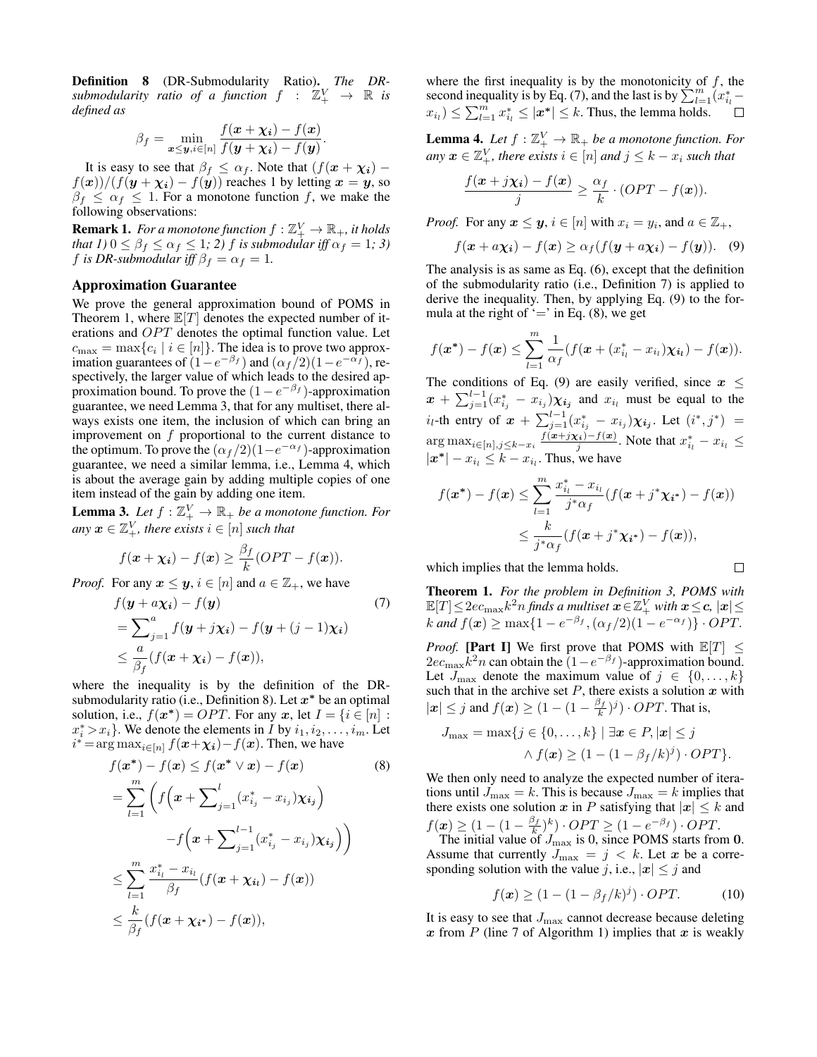Definition 8 (DR-Submodularity Ratio). *The DR*submodularity ratio of a function  $f : \mathbb{Z}_+^V \to \mathbb{R}$  is *defined as*

$$
\beta_f = \min_{\mathbf{x} \leq \mathbf{y}, i \in [n]} \frac{f(\mathbf{x} + \mathbf{\chi_i}) - f(\mathbf{x})}{f(\mathbf{y} + \mathbf{\chi_i}) - f(\mathbf{y})}.
$$

It is easy to see that  $\beta_f \leq \alpha_f$ . Note that  $(f(\mathbf{x} + \chi_i)$  $f(x)/(f(y + \chi_i) - f(y))$  reaches 1 by letting  $x = y$ , so  $\beta_f \leq \alpha_f \leq 1$ . For a monotone function f, we make the following observations:

**Remark 1.** For a monotone function  $f : \mathbb{Z}_+^V \to \mathbb{R}_+$ , it holds *that 1)*  $0 \leq \beta_f \leq \alpha_f \leq 1$ *; 2) f is submodular iff*  $\alpha_f = 1$ *; 3)* f *is DR-submodular iff*  $\beta_f = \alpha_f = 1$ .

## Approximation Guarantee

We prove the general approximation bound of POMS in Theorem 1, where  $\mathbb{E}[T]$  denotes the expected number of iterations and  $OPT$  denotes the optimal function value. Let  $c_{\text{max}} = \max\{c_i \mid i \in [n]\}.$  The idea is to prove two approximation guarantees of  $(1 - e^{-\beta_f})$  and  $(\alpha_f/2)(1 - e^{-\alpha_f})$ , respectively, the larger value of which leads to the desired approximation bound. To prove the  $(1 - e^{-\beta_f})$ -approximation guarantee, we need Lemma 3, that for any multiset, there always exists one item, the inclusion of which can bring an improvement on  $f$  proportional to the current distance to the optimum. To prove the  $(\alpha_f/2)(1-e^{-\alpha_f})$ -approximation guarantee, we need a similar lemma, i.e., Lemma 4, which is about the average gain by adding multiple copies of one item instead of the gain by adding one item.

**Lemma 3.** Let  $f : \mathbb{Z}_+^V \to \mathbb{R}_+$  be a monotone function. For any  $\boldsymbol{x} \in \mathbb{Z}_{+}^{V}$ , there exists  $i \in [n]$  such that

$$
f(\boldsymbol{x} + \boldsymbol{\chi_i}) - f(\boldsymbol{x}) \geq \frac{\beta_f}{k} (OPT - f(\boldsymbol{x})).
$$

*Proof.* For any  $x \leq y$ ,  $i \in [n]$  and  $a \in \mathbb{Z}_+$ , we have

$$
f(\mathbf{y} + a\mathbf{\chi}_i) - f(\mathbf{y})
$$
  
=  $\sum_{j=1}^{a} f(\mathbf{y} + j\mathbf{\chi}_i) - f(\mathbf{y} + (j-1)\mathbf{\chi}_i)$   
 $\leq \frac{a}{\beta_f} (f(\mathbf{x} + \mathbf{\chi}_i) - f(\mathbf{x})),$  (7)

where the inequality is by the definition of the DRsubmodularity ratio (i.e., Definition 8). Let  $x^*$  be an optimal solution, i.e.,  $f(x^*) = OPT$ . For any x, let  $I = \{i \in [n] :$  $x_i^* > x_i$ . We denote the elements in *I* by  $i_1, i_2, \ldots, i_m$ . Let  $i^* = \arg \max_{i \in [n]} f(\boldsymbol{x} + \boldsymbol{\chi_i}) - f(\boldsymbol{x})$ . Then, we have

$$
f(\boldsymbol{x}^*) - f(\boldsymbol{x}) \le f(\boldsymbol{x}^* \vee \boldsymbol{x}) - f(\boldsymbol{x}) \qquad (8)
$$
  
\n
$$
= \sum_{l=1}^{m} \left( f\left(\boldsymbol{x} + \sum_{j=1}^{l} (x_{i_j}^* - x_{i_j}) \chi_{i_j}\right) - f\left(\boldsymbol{x} + \sum_{j=1}^{l-1} (x_{i_j}^* - x_{i_j}) \chi_{i_j}\right) \right)
$$
  
\n
$$
\le \sum_{l=1}^{m} \frac{x_{i_l}^* - x_{i_l}}{\beta_f} (f(\boldsymbol{x} + \chi_{i_l}) - f(\boldsymbol{x}))
$$
  
\n
$$
\le \frac{k}{\beta_f} (f(\boldsymbol{x} + \chi_{i^*}) - f(\boldsymbol{x})),
$$

where the first inequality is by the monotonicity of  $f$ , the second inequality is by Eq. (7), and the last is by  $\sum_{l=1}^{m} (x_{i_l}^*$  $x_{i_l} \leq \sum_{l=1}^m x_{i_l}^* \leq |\mathbf{x}^*| \leq k$ . Thus, the lemma holds.

**Lemma 4.** Let  $f : \mathbb{Z}_+^V \to \mathbb{R}_+$  be a monotone function. For any  $\boldsymbol{x} \in \mathbb{Z}_+^V$ , there exists  $i \in [n]$  and  $j \leq k - x_i$  such that

$$
\frac{f(\boldsymbol{x}+j\chi_i)-f(\boldsymbol{x})}{j}\geq \frac{\alpha_f}{k}\cdot (OPT-f(\boldsymbol{x})).
$$

*Proof.* For any  $x \le y$ ,  $i \in [n]$  with  $x_i = y_i$ , and  $a \in \mathbb{Z}_+$ ,

$$
f(\boldsymbol{x} + a\boldsymbol{\chi_i}) - f(\boldsymbol{x}) \ge \alpha_f(f(\boldsymbol{y} + a\boldsymbol{\chi_i}) - f(\boldsymbol{y})). \quad (9)
$$

The analysis is as same as Eq. (6), except that the definition of the submodularity ratio (i.e., Definition 7) is applied to derive the inequality. Then, by applying Eq. (9) to the formula at the right of  $\prime = \prime$  in Eq. (8), we get

$$
f(\boldsymbol{x}^*) - f(\boldsymbol{x}) \leq \sum_{l=1}^m \frac{1}{\alpha_f} (f(\boldsymbol{x} + (x_{i_l}^* - x_{i_l})\boldsymbol{\chi}_{i_l}) - f(\boldsymbol{x})).
$$

The conditions of Eq. (9) are easily verified, since  $x \leq$  $x + \sum_{j=1}^{l-1} (x_{i_j}^* - x_{i_j}) \chi_{i_j}$  and  $x_{i_l}$  must be equal to the  $i_l$ -th entry of  $x + \sum_{j=1}^{l-1} (x_{i_j}^* - x_{i_j}) \chi_{i_j}$ . Let  $(i^*, j^*)$  =  $\arg \max_{i \in [n], j \leq k-x_i} \frac{f(x+jx_i)-f(x)}{j}$ . Note that  $x_{i_l}^* - x_{i_l} \leq$  $|\mathbf{x}^*| - x_{i_l} \leq k - x_{i_l}$ . Thus, we have

$$
f(\boldsymbol{x}^*) - f(\boldsymbol{x}) \leq \sum_{l=1}^m \frac{x_{i_l}^* - x_{i_l}}{j^* \alpha_f} (f(\boldsymbol{x} + j^* \boldsymbol{\chi_{i^*}}) - f(\boldsymbol{x}))
$$
  

$$
\leq \frac{k}{j^* \alpha_f} (f(\boldsymbol{x} + j^* \boldsymbol{\chi_{i^*}}) - f(\boldsymbol{x})),
$$

 $\Box$ 

which implies that the lemma holds.

Theorem 1. *For the problem in Definition 3, POMS with*  $\mathbb{E}[T]\!\leq\! 2ec_\text{max} k^2 n$  finds a multiset  $\boldsymbol{x}\!\in\!\mathbb{Z}_+^V$  with  $\boldsymbol{x}\!\leq\! \boldsymbol{c},\, |\boldsymbol{x}|\!\leq\!$ k and  $f(\mathbf{x}) \ge \max\{1 - e^{-\beta_f}, (\alpha_f/2)(1 - e^{-\alpha_f})\} \cdot OPT$ .

*Proof.* [Part I] We first prove that POMS with  $\mathbb{E}[T] \leq$  $2ec_{\text{max}}k^2n$  can obtain the  $(1-e^{-\beta_f})$ -approximation bound. Let  $J_{\text{max}}$  denote the maximum value of  $j \in \{0, \ldots, k\}$ such that in the archive set  $P$ , there exists a solution  $x$  with  $|\mathbf{x}| \leq j$  and  $f(\mathbf{x}) \geq (1 - (1 - \frac{\beta_f}{k})^j) \cdot OPT$ . That is,

$$
J_{\max} = \max\{j \in \{0,\ldots,k\} \mid \exists \mathbf{x} \in P, |\mathbf{x}| \leq j
$$
  
 
$$
\land f(\mathbf{x}) \geq (1 - (1 - \beta_f/k)^j) \cdot OPT\}.
$$

We then only need to analyze the expected number of iterations until  $J_{\text{max}} = k$ . This is because  $J_{\text{max}} = k$  implies that there exists one solution x in P satisfying that  $|x| \leq k$  and  $f(\mathbf{x}) \geq (1 - (1 - \frac{\beta_f}{k})^k) \cdot OPT \geq (1 - e^{-\beta_f}) \cdot OPT.$ 

The initial value of  $J_{\text{max}}$  is 0, since POMS starts from 0. Assume that currently  $J_{\text{max}} = j \lt k$ . Let x be a corresponding solution with the value j, i.e.,  $|x| \leq j$  and

$$
f(\boldsymbol{x}) \ge (1 - (1 - \beta_f/k)^j) \cdot OPT. \tag{10}
$$

It is easy to see that  $J_{\text{max}}$  cannot decrease because deleting x from  $P$  (line 7 of Algorithm 1) implies that x is weakly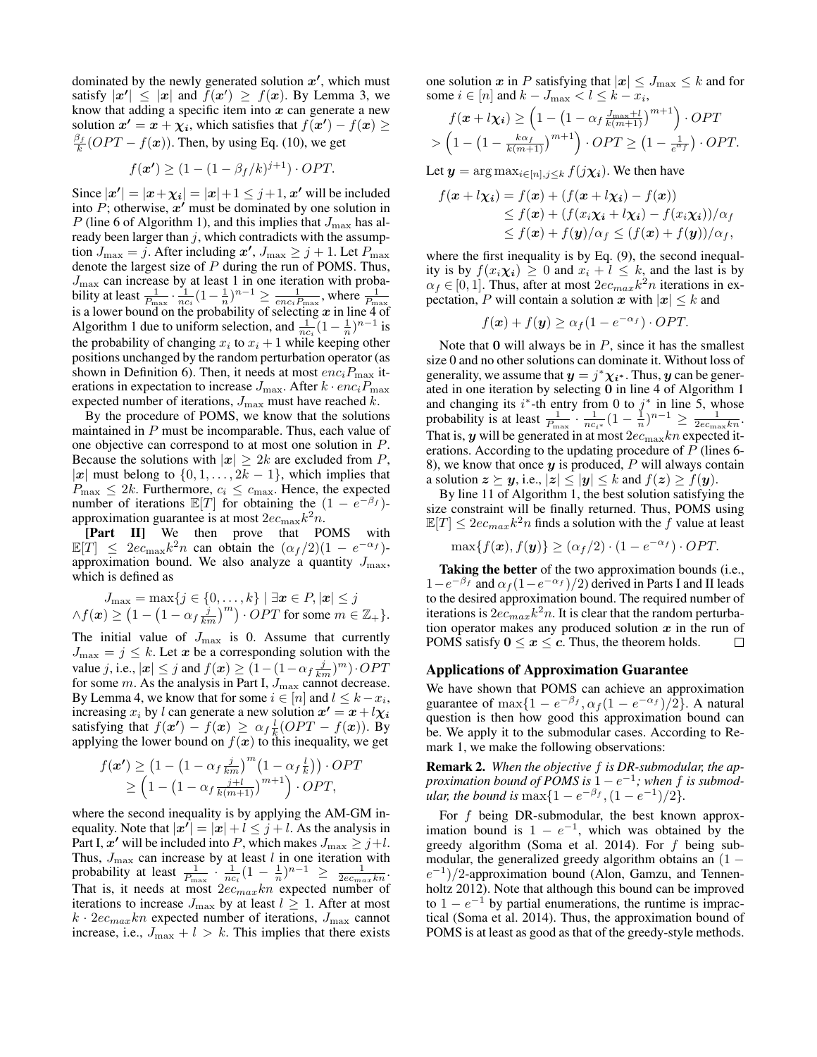dominated by the newly generated solution  $x'$ , which must satisfy  $|x'| \leq |x|$  and  $f(x') \geq f(x)$ . By Lemma 3, we know that adding a specific item into  $x$  can generate a new solution  $x' = x + \chi_i$ , which satisfies that  $f(x') - f(x) \ge$  $\frac{\beta_f}{k}$  (*OPT* –  $f(\mathbf{x})$ ). Then, by using Eq. (10), we get

$$
f(\mathbf{x'}) \ge (1 - (1 - \beta_f/k)^{j+1}) \cdot OPT.
$$

Since  $|\mathbf{x}'| = |\mathbf{x} + \chi_i| = |\mathbf{x}| + 1 \leq j+1$ , x' will be included into  $P$ ; otherwise,  $x'$  must be dominated by one solution in P (line 6 of Algorithm 1), and this implies that  $J_{\text{max}}$  has already been larger than  $j$ , which contradicts with the assumption  $J_{\text{max}} = j$ . After including  $x'$ ,  $J_{\text{max}} \ge j + 1$ . Let  $P_{\text{max}}$ denote the largest size of  $P$  during the run of POMS. Thus,  $J_{\text{max}}$  can increase by at least 1 in one iteration with probability at least  $\frac{1}{P_{\text{max}}} \cdot \frac{1}{nc_i} (1 - \frac{1}{n})^{n-1} \ge \frac{1}{enc_i P_{\text{max}}}$ , where  $\frac{1}{P_{\text{max}}}$  is a lower bound on the probability of selecting x in line 4 of Algorithm 1 due to uniform selection, and  $\frac{1}{nc_i}(1-\frac{1}{n})^{n-1}$  is the probability of changing  $x_i$  to  $x_i + 1$  while keeping other positions unchanged by the random perturbation operator (as shown in Definition 6). Then, it needs at most  $enc_iP_{\text{max}}$  iterations in expectation to increase  $J_{\text{max}}$ . After  $k \cdot enc_i P_{\text{max}}$ expected number of iterations,  $J_{\text{max}}$  must have reached k.

By the procedure of POMS, we know that the solutions maintained in  $P$  must be incomparable. Thus, each value of one objective can correspond to at most one solution in P. Because the solutions with  $|x| \geq 2k$  are excluded from P, |x| must belong to  $\{0, 1, \ldots, 2k - 1\}$ , which implies that  $P_{\text{max}} \leq 2k$ . Furthermore,  $c_i \leq c_{\text{max}}$ . Hence, the expected number of iterations  $\mathbb{E}[T]$  for obtaining the  $(1 - e^{-\beta_f})$ approximation guarantee is at most  $2ec_{\text{max}}k^2n$ .

[Part II] We then prove that POMS with  $\mathbb{E}[T] \leq 2e c_{\text{max}} k^2 n$  can obtain the  $(\alpha_f/2)(1 - e^{-\alpha_f})$ approximation bound. We also analyze a quantity  $J_{\text{max}}$ , which is defined as

$$
J_{\max} = \max\{j \in \{0, \dots, k\} \mid \exists x \in P, |x| \le j
$$
  

$$
\wedge f(x) \ge \left(1 - \left(1 - \alpha_f \frac{j}{km}\right)^m\right) \cdot OPT \text{ for some } m \in \mathbb{Z}_+\}.
$$

The initial value of  $J_{\text{max}}$  is 0. Assume that currently  $J_{\text{max}} = j \leq k$ . Let x be a corresponding solution with the value j, i.e.,  $|\mathbf{x}| \leq j$  and  $f(\mathbf{x}) \geq (1 - (1 - \alpha_f \frac{j}{km})^m) \cdot OPT$ for some  $m$ . As the analysis in Part I,  $J_{\text{max}}$  cannot decrease. By Lemma 4, we know that for some  $i \in [n]$  and  $l \leq k - x_i$ , increasing  $x_i$  by l can generate a new solution  $x' = x + l\chi_i$ satisfying that  $f(x') - f(x) \ge \alpha_f \frac{l}{k} (OPT - f(x))$ . By applying the lower bound on  $f(x)$  to this inequality, we get

$$
f(\mathbf{x'}) \geq \left(1 - \left(1 - \alpha_f \frac{j}{km}\right)^m \left(1 - \alpha_f \frac{l}{k}\right)\right) \cdot OPT
$$
  
 
$$
\geq \left(1 - \left(1 - \alpha_f \frac{j+l}{k(m+1)}\right)^{m+1}\right) \cdot OPT,
$$

where the second inequality is by applying the AM-GM inequality. Note that  $|x'| = |x| + i \leq j + i$ . As the analysis in Part I,  $x'$  will be included into P, which makes  $J_{\text{max}} \geq j+l$ . Thus,  $J_{\text{max}}$  can increase by at least  $l$  in one iteration with probability at least  $\frac{1}{P_{\text{max}}} \cdot \frac{1}{nc_i} (1 - \frac{1}{n})^{n-1} \geq \frac{1}{2ec_{max}kn}$ . That is, it needs at most  $2ec_{max}kn$  expected number of iterations to increase  $J_{\text{max}}$  by at least  $l \geq 1$ . After at most  $k \cdot 2e_{max}kn$  expected number of iterations,  $J_{\text{max}}$  cannot increase, i.e.,  $J_{\text{max}} + l > k$ . This implies that there exists one solution x in P satisfying that  $|x| \leq J_{\text{max}} \leq k$  and for some  $i \in [n]$  and  $k - J_{\text{max}} < l \leq k - x_i$ ,

$$
f(\mathbf{x} + l\mathbf{\chi_i}) \geq \left(1 - \left(1 - \alpha_f \frac{J_{\text{max}} + l}{k(m+1)}\right)^{m+1}\right) \cdot OPT
$$
  
> 
$$
\left(1 - \left(1 - \frac{k\alpha_f}{k(m+1)}\right)^{m+1}\right) \cdot OPT \geq \left(1 - \frac{1}{e^{\alpha_f}}\right) \cdot OPT.
$$

Let  $y = \arg \max_{i \in [n], j \leq k} f(j\chi_i)$ . We then have

$$
f(\mathbf{x} + l\mathbf{x_i}) = f(\mathbf{x}) + (f(\mathbf{x} + l\mathbf{x_i}) - f(\mathbf{x}))
$$
  
\n
$$
\leq f(\mathbf{x}) + (f(x_i\mathbf{x_i} + l\mathbf{x_i}) - f(x_i\mathbf{x_i}))/\alpha_f
$$
  
\n
$$
\leq f(\mathbf{x}) + f(\mathbf{y})/\alpha_f \leq (f(\mathbf{x}) + f(\mathbf{y}))/\alpha_f,
$$

where the first inequality is by Eq.  $(9)$ , the second inequality is by  $f(x_i\chi_i) \geq 0$  and  $x_i + l \leq k$ , and the last is by  $\alpha_f \in [0, 1]$ . Thus, after at most  $2e c_{max} k^2 n$  iterations in expectation, P will contain a solution x with  $|x| \leq k$  and

$$
f(\mathbf{x}) + f(\mathbf{y}) \ge \alpha_f (1 - e^{-\alpha_f}) \cdot OPT.
$$

Note that  $\bf{0}$  will always be in  $P$ , since it has the smallest size 0 and no other solutions can dominate it. Without loss of generality, we assume that  $y = j^* \chi_{i^*}$ . Thus, y can be generated in one iteration by selecting 0 in line 4 of Algorithm 1 and changing its  $i^*$ -th entry from 0 to  $j^*$  in line 5, whose probability is at least  $\frac{1}{P_{\text{max}}} \cdot \frac{1}{nc_{i^*}} \left(1 - \frac{1}{n}\right)^{n-1} \ge \frac{1}{2ec_{\text{max}}kn}$ . That is,  $y$  will be generated in at most  $2ec_{\max}kn$  expected iterations. According to the updating procedure of  $P$  (lines 6-8), we know that once  $y$  is produced, P will always contain a solution  $z \succeq y$ , i.e.,  $|z| \le |y| \le k$  and  $f(z) \ge f(y)$ .

By line 11 of Algorithm 1, the best solution satisfying the size constraint will be finally returned. Thus, POMS using  $\mathbb{E}[T] \leq 2e c_{max} k^2 n$  finds a solution with the f value at least

$$
\max\{f(\boldsymbol{x}), f(\boldsymbol{y})\} \geq (\alpha_f/2) \cdot (1 - e^{-\alpha_f}) \cdot OPT.
$$

Taking the better of the two approximation bounds (i.e.,  $1-e^{-\beta_f}$  and  $\alpha_f(1-e^{-\alpha_f})/2$ ) derived in Parts I and II leads to the desired approximation bound. The required number of iterations is  $2e c_{max} k^2 n$ . It is clear that the random perturbation operator makes any produced solution  $x$  in the run of POMS satisfy  $0 \le x \le c$ . Thus, the theorem holds.  $\Box$ 

### Applications of Approximation Guarantee

We have shown that POMS can achieve an approximation guarantee of  $\max\{1 - e^{-\beta_f}, \alpha_f(1 - e^{-\alpha_f})/2\}$ . A natural question is then how good this approximation bound can be. We apply it to the submodular cases. According to Remark 1, we make the following observations:

Remark 2. *When the objective* f *is DR-submodular, the approximation bound of POMS is*  $1 - e^{-1}$ ; when f *is submodular, the bound is*  $\max\{1-e^{-\beta_f}, (1-e^{-1})/2\}.$ 

For  $f$  being DR-submodular, the best known approximation bound is  $1 - e^{-1}$ , which was obtained by the greedy algorithm (Soma et al. 2014). For f being submodular, the generalized greedy algorithm obtains an  $(1 (e^{-1})/2$ -approximation bound (Alon, Gamzu, and Tennenholtz 2012). Note that although this bound can be improved to  $1 - e^{-1}$  by partial enumerations, the runtime is impractical (Soma et al. 2014). Thus, the approximation bound of POMS is at least as good as that of the greedy-style methods.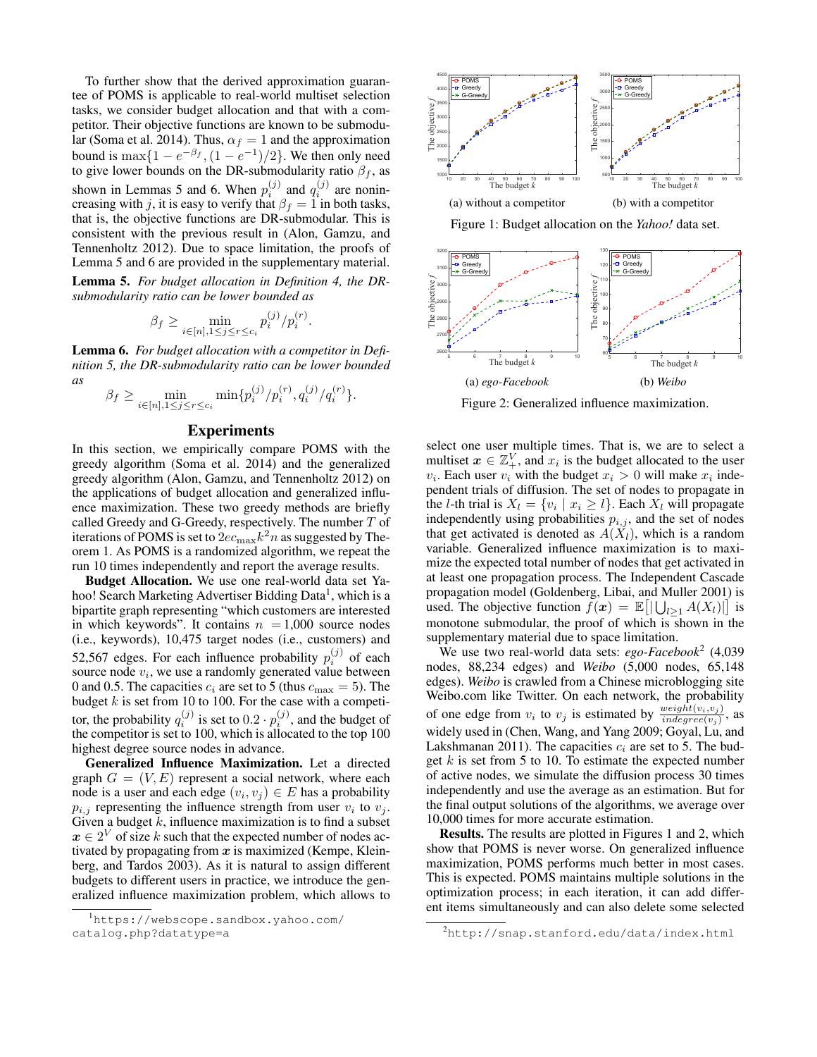To further show that the derived approximation guarantee of POMS is applicable to real-world multiset selection tasks, we consider budget allocation and that with a competitor. Their objective functions are known to be submodular (Soma et al. 2014). Thus,  $\alpha_f = 1$  and the approximation bound is  $\max\{1 - e^{-\beta_f}, (1 - e^{-1})/2\}$ . We then only need to give lower bounds on the DR-submodularity ratio  $\beta_f$ , as shown in Lemmas 5 and 6. When  $p_i^{(j)}$  and  $q_i^{(j)}$  are nonincreasing with j, it is easy to verify that  $\beta_f = 1$  in both tasks, that is, the objective functions are DR-submodular. This is consistent with the previous result in (Alon, Gamzu, and Tennenholtz 2012). Due to space limitation, the proofs of Lemma 5 and 6 are provided in the supplementary material.

Lemma 5. *For budget allocation in Definition 4, the DRsubmodularity ratio can be lower bounded as*

$$
\beta_f \ge \min_{i \in [n], 1 \le j \le r \le c_i} p_i^{(j)}/p_i^{(r)}.
$$

Lemma 6. *For budget allocation with a competitor in Definition 5, the DR-submodularity ratio can be lower bounded as*

$$
\beta_f \ge \min_{i \in [n], 1 \le j \le r \le c_i} \min \{ p_i^{(j)}/p_i^{(r)}, q_i^{(j)}/q_i^{(r)} \}.
$$

## Experiments

In this section, we empirically compare POMS with the greedy algorithm (Soma et al. 2014) and the generalized greedy algorithm (Alon, Gamzu, and Tennenholtz 2012) on the applications of budget allocation and generalized influence maximization. These two greedy methods are briefly called Greedy and G-Greedy, respectively. The number T of iterations of POMS is set to  $2ec_{\text{max}}k^2n$  as suggested by Theorem 1. As POMS is a randomized algorithm, we repeat the run 10 times independently and report the average results.

Budget Allocation. We use one real-world data set Yahoo! Search Marketing Advertiser Bidding Data<sup>1</sup>, which is a bipartite graph representing "which customers are interested in which keywords". It contains  $n = 1,000$  source nodes (i.e., keywords), 10,475 target nodes (i.e., customers) and 52,567 edges. For each influence probability  $p_i^{(j)}$  of each source node  $v_i$ , we use a randomly generated value between 0 and 0.5. The capacities  $c_i$  are set to 5 (thus  $c_{\text{max}} = 5$ ). The budget  $k$  is set from 10 to 100. For the case with a competitor, the probability  $q_i^{(j)}$  is set to  $0.2 \cdot p_i^{(j)}$ , and the budget of the competitor is set to 100, which is allocated to the top 100 highest degree source nodes in advance.

Generalized Influence Maximization. Let a directed graph  $G = (V, E)$  represent a social network, where each node is a user and each edge  $(v_i, v_j) \in E$  has a probability  $p_{i,j}$  representing the influence strength from user  $v_i$  to  $v_j$ . Given a budget  $\overline{k}$ , influence maximization is to find a subset  $x \in 2^V$  of size k such that the expected number of nodes activated by propagating from  $x$  is maximized (Kempe, Kleinberg, and Tardos 2003). As it is natural to assign different budgets to different users in practice, we introduce the generalized influence maximization problem, which allows to



Figure 1: Budget allocation on the *Yahoo!* data set.



Figure 2: Generalized influence maximization.

select one user multiple times. That is, we are to select a multiset  $x \in \mathbb{Z}_+^V$ , and  $x_i$  is the budget allocated to the user  $v_i$ . Each user  $v_i$  with the budget  $x_i > 0$  will make  $x_i$  independent trials of diffusion. The set of nodes to propagate in the *l*-th trial is  $X_l = \{v_i \mid x_i \geq l\}$ . Each  $X_l$  will propagate independently using probabilities  $p_{i,j}$ , and the set of nodes that get activated is denoted as  $A(\tilde{X}_l)$ , which is a random variable. Generalized influence maximization is to maximize the expected total number of nodes that get activated in at least one propagation process. The Independent Cascade propagation model (Goldenberg, Libai, and Muller 2001) is used. The objective function  $f(x) = \mathbb{E}[|\bigcup_{l \geq 1} A(X_l)|]$  is monotone submodular, the proof of which is shown in the supplementary material due to space limitation.

We use two real-world data sets: *ego-Facebook*<sup>2</sup> (4,039 nodes, 88,234 edges) and *Weibo* (5,000 nodes, 65,148 edges). *Weibo* is crawled from a Chinese microblogging site Weibo.com like Twitter. On each network, the probability of one edge from  $v_i$  to  $v_j$  is estimated by  $\frac{weight(v_i, v_j)}{indegree(v_j)}$ , as widely used in (Chen, Wang, and Yang 2009; Goyal, Lu, and Lakshmanan 2011). The capacities  $c_i$  are set to 5. The budget  $k$  is set from 5 to 10. To estimate the expected number of active nodes, we simulate the diffusion process 30 times independently and use the average as an estimation. But for the final output solutions of the algorithms, we average over 10,000 times for more accurate estimation.

Results. The results are plotted in Figures 1 and 2, which show that POMS is never worse. On generalized influence maximization, POMS performs much better in most cases. This is expected. POMS maintains multiple solutions in the optimization process; in each iteration, it can add different items simultaneously and can also delete some selected

<sup>1</sup>https://webscope.sandbox.yahoo.com/ catalog.php?datatype=a

<sup>2</sup>http://snap.stanford.edu/data/index.html